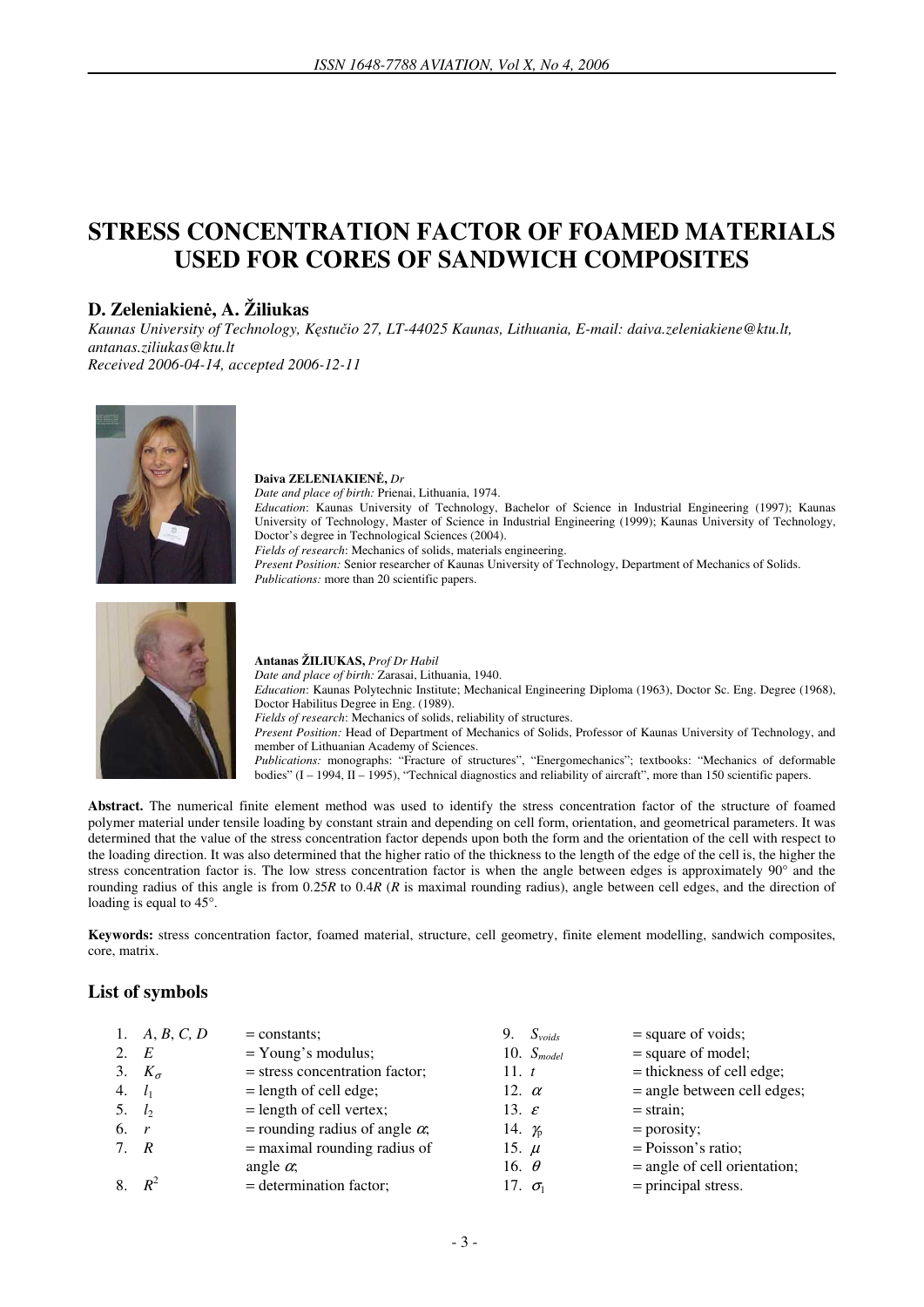# **STRESS CONCENTRATION FACTOR OF FOAMED MATERIALS USED FOR CORES OF SANDWICH COMPOSITES**

# **D. Zeleniakien**ė**, A. Žiliukas**

*Kaunas University of Technology, K*ę*stu*č*io 27, LT-44025 Kaunas, Lithuania, E-mail: daiva.zeleniakiene@ktu.lt, antanas.ziliukas@ktu.lt Received 2006-04-14, accepted 2006-12-11* 



#### **Daiva ZELENIAKIEN**Ė**,** *Dr*

*Date and place of birth:* Prienai, Lithuania, 1974. *Education*: Kaunas University of Technology, Bachelor of Science in Industrial Engineering (1997); Kaunas University of Technology, Master of Science in Industrial Engineering (1999); Kaunas University of Technology, Doctor's degree in Technological Sciences (2004). *Fields of research*: Mechanics of solids, materials engineering.

*Present Position:* Senior researcher of Kaunas University of Technology, Department of Mechanics of Solids. *Publications:* more than 20 scientific papers.



**Antanas ŽILIUKAS,** *Prof Dr Habil Date and place of birth:* Zarasai, Lithuania, 1940. *Education*: Kaunas Polytechnic Institute; Mechanical Engineering Diploma (1963), Doctor Sc. Eng. Degree (1968), Doctor Habilitus Degree in Eng. (1989). *Fields of research*: Mechanics of solids, reliability of structures. *Present Position:* Head of Department of Mechanics of Solids, Professor of Kaunas University of Technology, and member of Lithuanian Academy of Sciences. *Publications:* monographs: "Fracture of structures", "Energomechanics"; textbooks: "Mechanics of deformable bodies" (I – 1994, II – 1995), "Technical diagnostics and reliability of aircraft", more than 150 scientific papers.

**Abstract.** The numerical finite element method was used to identify the stress concentration factor of the structure of foamed polymer material under tensile loading by constant strain and depending on cell form, orientation, and geometrical parameters. It was determined that the value of the stress concentration factor depends upon both the form and the orientation of the cell with respect to the loading direction. It was also determined that the higher ratio of the thickness to the length of the edge of the cell is, the higher the stress concentration factor is. The low stress concentration factor is when the angle between edges is approximately 90° and the rounding radius of this angle is from 0.25*R* to 0.4*R* (*R* is maximal rounding radius), angle between cell edges, and the direction of loading is equal to  $45^\circ$ .

**Keywords:** stress concentration factor, foamed material, structure, cell geometry, finite element modelling, sandwich composites, core, matrix.

## **List of symbols**

|          | 1. $A, B, C, D$ | $=$ constants;                        | 9. $S_{\text{voids}}$ | $=$ square of voids;           |
|----------|-----------------|---------------------------------------|-----------------------|--------------------------------|
| 2. $E$   |                 | $=$ Young's modulus;                  | 10. $S_{model}$       | $=$ square of model;           |
|          | 3. $K_{\sigma}$ | = stress concentration factor;        | 11. $t$               | $=$ thickness of cell edge;    |
| 4. $l_1$ |                 | $=$ length of cell edge;              | 12. $\alpha$          | $=$ angle between cell edges;  |
| 5. $l_2$ |                 | $=$ length of cell vertex;            | 13. $\varepsilon$     | $=$ strain;                    |
| 6. r     |                 | = rounding radius of angle $\alpha$ ; | 14. $\chi$            | $=$ porosity;                  |
| 7. R     |                 | $=$ maximal rounding radius of        | 15. $\mu$             | $= Poisson's ratio;$           |
|          |                 | angle $\alpha$ ;                      | 16. $\theta$          | $=$ angle of cell orientation; |
|          | $R^2$           | = determination factor;               | 17. $\sigma_1$        | $=$ principal stress.          |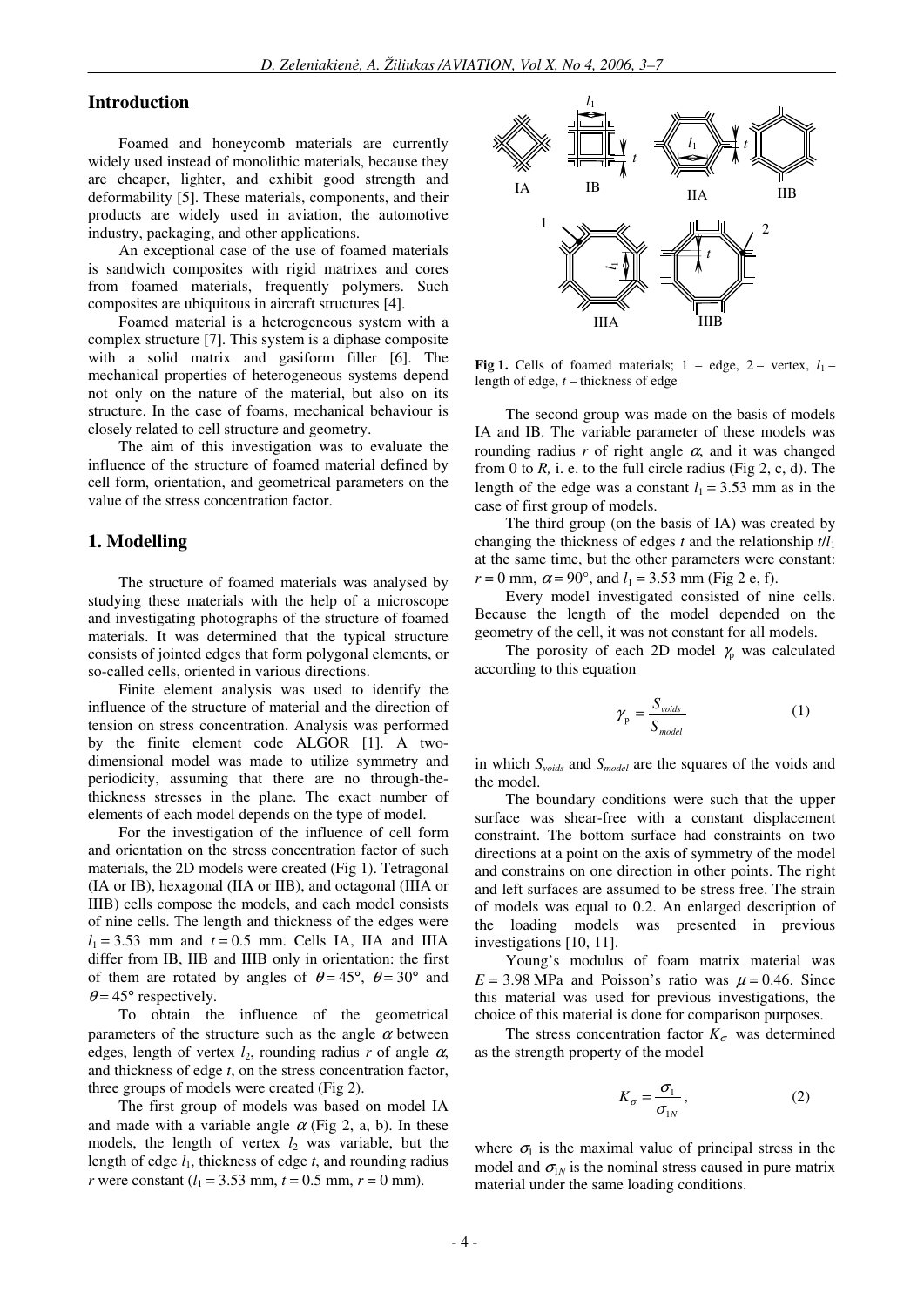#### **Introduction**

 Foamed and honeycomb materials are currently widely used instead of monolithic materials, because they are cheaper, lighter, and exhibit good strength and deformability [5]. These materials, components, and their products are widely used in aviation, the automotive industry, packaging, and other applications.

 An exceptional case of the use of foamed materials is sandwich composites with rigid matrixes and cores from foamed materials, frequently polymers. Such composites are ubiquitous in aircraft structures [4].

 Foamed material is a heterogeneous system with a complex structure [7]. This system is a diphase composite with a solid matrix and gasiform filler [6]. The mechanical properties of heterogeneous systems depend not only on the nature of the material, but also on its structure. In the case of foams, mechanical behaviour is closely related to cell structure and geometry.

 The aim of this investigation was to evaluate the influence of the structure of foamed material defined by cell form, orientation, and geometrical parameters on the value of the stress concentration factor.

#### **1. Modelling**

 The structure of foamed materials was analysed by studying these materials with the help of a microscope and investigating photographs of the structure of foamed materials. It was determined that the typical structure consists of jointed edges that form polygonal elements, or so-called cells, oriented in various directions.

 Finite element analysis was used to identify the influence of the structure of material and the direction of tension on stress concentration. Analysis was performed by the finite element code ALGOR [1]. A twodimensional model was made to utilize symmetry and periodicity, assuming that there are no through-thethickness stresses in the plane. The exact number of elements of each model depends on the type of model.

 For the investigation of the influence of cell form and orientation on the stress concentration factor of such materials, the 2D models were created (Fig 1). Tetragonal (IA or IB), hexagonal (IIA or IIB), and octagonal (IIIA or IIIB) cells compose the models, and each model consists of nine cells. The length and thickness of the edges were  $l_1 = 3.53$  mm and  $t = 0.5$  mm. Cells IA, IIA and IIIA differ from IB, IIB and IIIB only in orientation: the first of them are rotated by angles of  $\theta = 45^{\circ}$ ,  $\theta = 30^{\circ}$  and  $\theta$  = 45° respectively.

 To obtain the influence of the geometrical parameters of the structure such as the angle  $\alpha$  between edges, length of vertex  $l_2$ , rounding radius r of angle  $\alpha$ , and thickness of edge *t*, on the stress concentration factor, three groups of models were created (Fig 2).

 The first group of models was based on model IA and made with a variable angle  $\alpha$  (Fig 2, a, b). In these models, the length of vertex  $l_2$  was variable, but the length of edge *l*1, thickness of edge *t*, and rounding radius *r* were constant  $(l_1 = 3.53$  mm,  $t = 0.5$  mm,  $r = 0$  mm).



**Fig 1.** Cells of foamed materials;  $1 -$  edge,  $2 -$  vertex,  $l_1$ length of edge, *t* – thickness of edge

 The second group was made on the basis of models IA and IB. The variable parameter of these models was rounding radius  $r$  of right angle  $\alpha$ , and it was changed from 0 to  $R$ , i. e. to the full circle radius (Fig 2, c, d). The length of the edge was a constant  $l_1 = 3.53$  mm as in the case of first group of models.

 The third group (on the basis of IA) was created by changing the thickness of edges *t* and the relationship *t*/*l*<sup>1</sup> at the same time, but the other parameters were constant:  $r = 0$  mm,  $\alpha = 90^{\circ}$ , and  $l_1 = 3.53$  mm (Fig 2 e, f).

 Every model investigated consisted of nine cells. Because the length of the model depended on the geometry of the cell, it was not constant for all models.

The porosity of each 2D model  $\chi$  was calculated according to this equation

$$
\gamma_{\rm p} = \frac{S_{\text{voids}}}{S_{\text{model}}} \tag{1}
$$

in which *Svoids* and *Smodel* are the squares of the voids and the model.

 The boundary conditions were such that the upper surface was shear-free with a constant displacement constraint. The bottom surface had constraints on two directions at a point on the axis of symmetry of the model and constrains on one direction in other points. The right and left surfaces are assumed to be stress free. The strain of models was equal to 0.2. An enlarged description of the loading models was presented in previous investigations [10, 11].

 Young's modulus of foam matrix material was  $E = 3.98$  MPa and Poisson's ratio was  $\mu = 0.46$ . Since this material was used for previous investigations, the choice of this material is done for comparison purposes.

The stress concentration factor  $K_{\sigma}$  was determined as the strength property of the model

$$
K_{\sigma} = \frac{\sigma_1}{\sigma_{1N}}\,,\tag{2}
$$

where  $\sigma_1$  is the maximal value of principal stress in the model and  $\sigma_{1N}$  is the nominal stress caused in pure matrix material under the same loading conditions.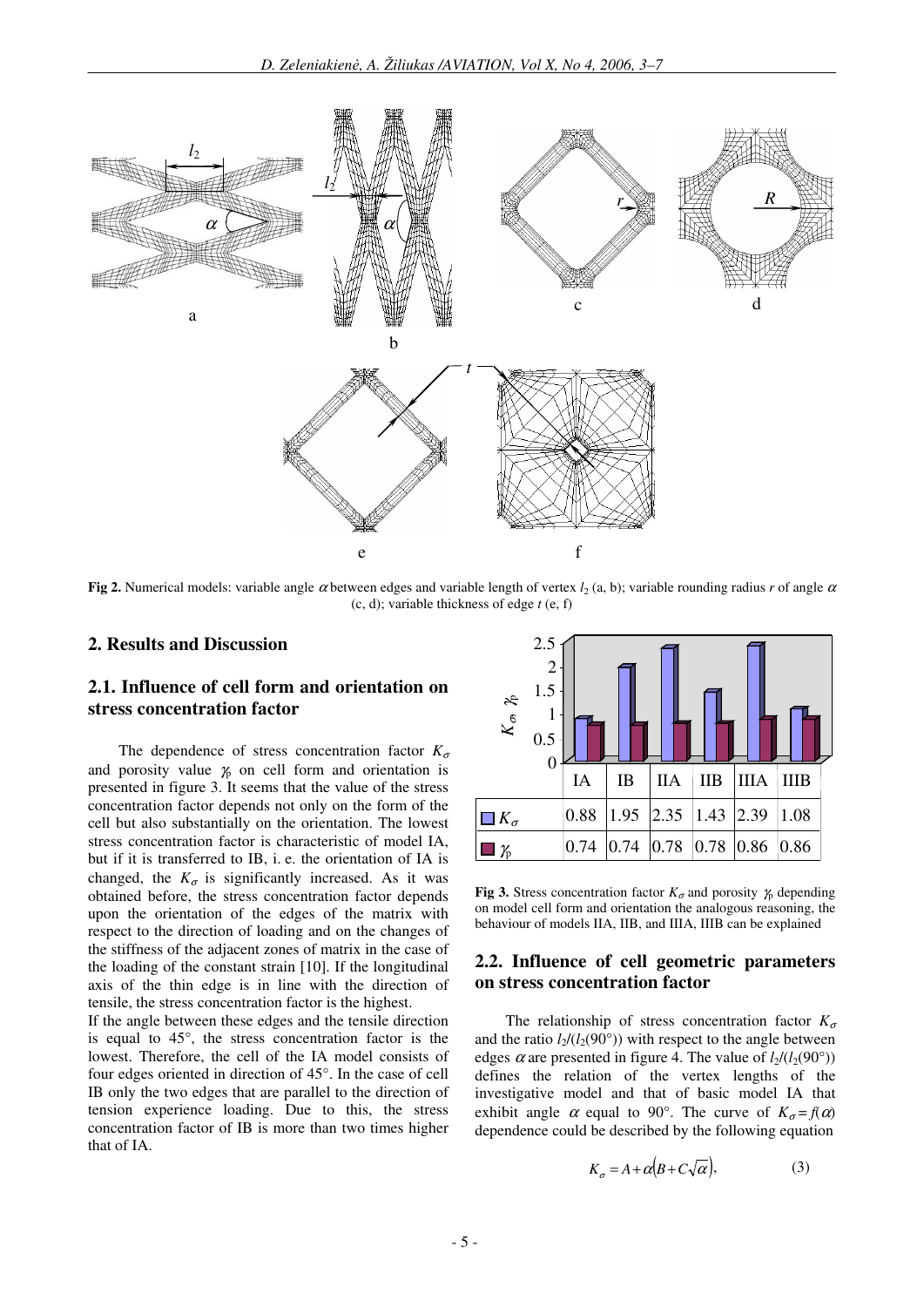

**Fig 2.** Numerical models: variable angle  $\alpha$  between edges and variable length of vertex *l*<sub>2</sub> (a, b); variable rounding radius *r* of angle  $\alpha$ (c, d); variable thickness of edge *t* (e, f)

### **2. Results and Discussion**

## **2.1. Influence of cell form and orientation on stress concentration factor**

The dependence of stress concentration factor  $K_{\sigma}$ and porosity value  $\chi$  on cell form and orientation is presented in figure 3. It seems that the value of the stress concentration factor depends not only on the form of the cell but also substantially on the orientation. The lowest stress concentration factor is characteristic of model IA, but if it is transferred to IB, i. e. the orientation of IA is changed, the  $K_{\sigma}$  is significantly increased. As it was obtained before, the stress concentration factor depends upon the orientation of the edges of the matrix with respect to the direction of loading and on the changes of the stiffness of the adjacent zones of matrix in the case of the loading of the constant strain [10]. If the longitudinal axis of the thin edge is in line with the direction of tensile, the stress concentration factor is the highest.

If the angle between these edges and the tensile direction is equal to 45°, the stress concentration factor is the lowest. Therefore, the cell of the IA model consists of four edges oriented in direction of 45°. In the case of cell IB only the two edges that are parallel to the direction of tension experience loading. Due to this, the stress concentration factor of IB is more than two times higher that of IA.



**Fig 3.** Stress concentration factor  $K_{\sigma}$  and porosity  $\gamma$  depending on model cell form and orientation the analogous reasoning, the behaviour of models IIA, IIB, and IIIA, IIIB can be explained

## **2.2. Influence of cell geometric parameters on stress concentration factor**

The relationship of stress concentration factor  $K_{\sigma}$ and the ratio  $l_2/(l_2(90°))$  with respect to the angle between edges  $\alpha$  are presented in figure 4. The value of  $l_2/(l_2(90°))$ defines the relation of the vertex lengths of the investigative model and that of basic model IA that exhibit angle  $\alpha$  equal to 90°. The curve of  $K_{\alpha} = f(\alpha)$ dependence could be described by the following equation

$$
K_{\sigma} = A + \alpha (B + C\sqrt{\alpha}), \tag{3}
$$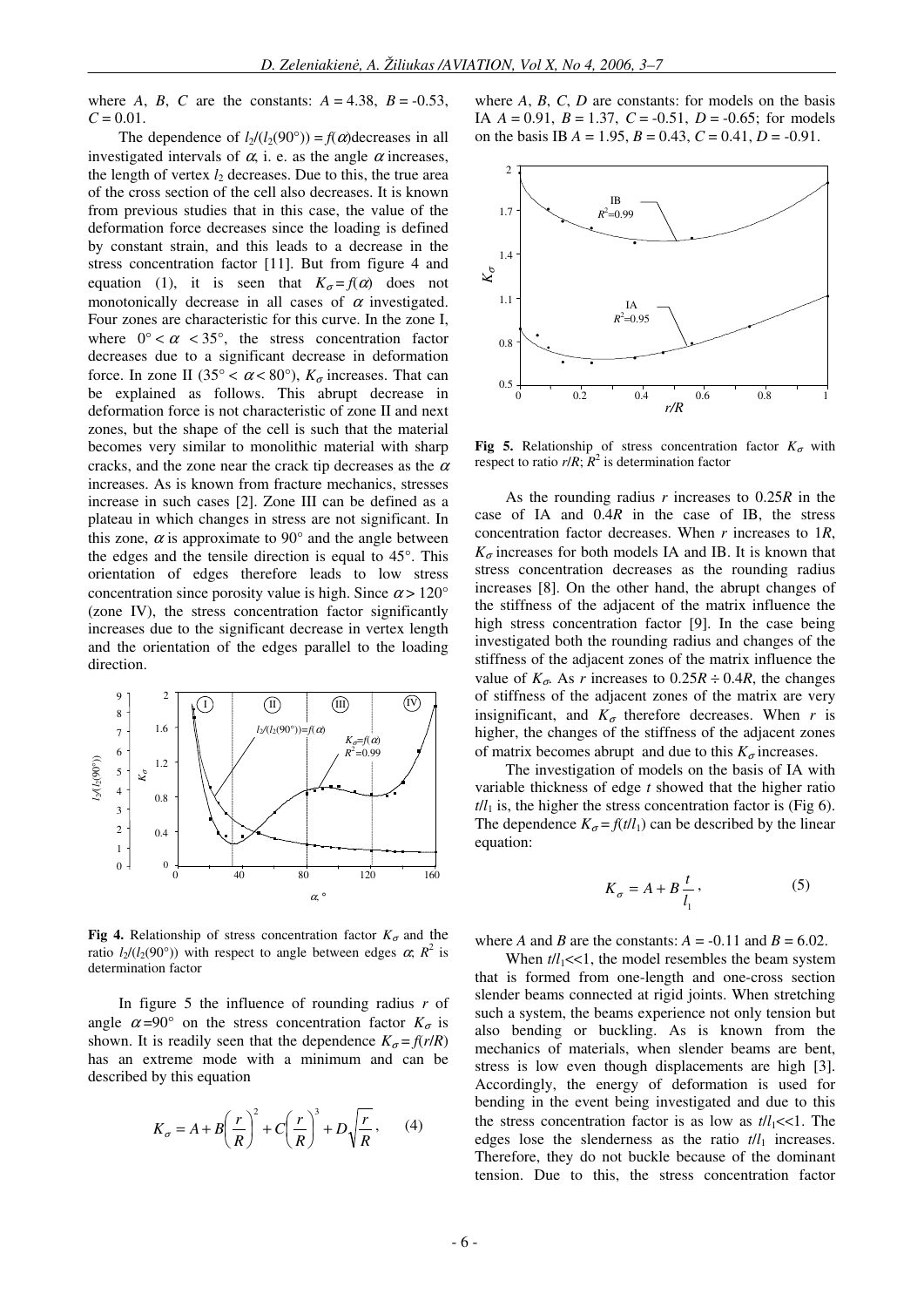where *A*, *B*, *C* are the constants:  $A = 4.38$ ,  $B = -0.53$ ,  $C = 0.01$ .

The dependence of  $l_2/(l_2(90^\circ)) = f(\alpha)$  decreases in all investigated intervals of  $\alpha$ , i. e. as the angle  $\alpha$  increases, the length of vertex  $l_2$  decreases. Due to this, the true area of the cross section of the cell also decreases. It is known from previous studies that in this case, the value of the deformation force decreases since the loading is defined by constant strain, and this leads to a decrease in the stress concentration factor [11]. But from figure 4 and equation (1), it is seen that  $K_{\sigma} = f(\alpha)$  does not monotonically decrease in all cases of  $\alpha$  investigated. Four zones are characteristic for this curve. In the zone I, where  $0^{\circ} < \alpha < 35^{\circ}$ , the stress concentration factor decreases due to a significant decrease in deformation force. In zone II (35° <  $\alpha$  < 80°),  $K_{\sigma}$  increases. That can be explained as follows. This abrupt decrease in deformation force is not characteristic of zone II and next zones, but the shape of the cell is such that the material becomes very similar to monolithic material with sharp cracks, and the zone near the crack tip decreases as the  $\alpha$ increases. As is known from fracture mechanics, stresses increase in such cases [2]. Zone III can be defined as a plateau in which changes in stress are not significant. In this zone,  $\alpha$  is approximate to 90 $^{\circ}$  and the angle between the edges and the tensile direction is equal to 45°. This orientation of edges therefore leads to low stress concentration since porosity value is high. Since  $\alpha$  > 120° (zone IV), the stress concentration factor significantly increases due to the significant decrease in vertex length and the orientation of the edges parallel to the loading direction.



**Fig 4.** Relationship of stress concentration factor  $K_{\sigma}$  and the ratio  $l_2/(l_2(90^\circ))$  with respect to angle between edges  $\alpha$ ;  $R^2$  is determination factor

 In figure 5 the influence of rounding radius *r* of angle  $\alpha = 90^{\circ}$  on the stress concentration factor  $K_{\sigma}$  is shown. It is readily seen that the dependence  $K_{\sigma} = f(r/R)$ has an extreme mode with a minimum and can be described by this equation

$$
K_{\sigma} = A + B \left(\frac{r}{R}\right)^2 + C \left(\frac{r}{R}\right)^3 + D \sqrt{\frac{r}{R}}, \qquad (4)
$$

where *A*, *B*, *C*, *D* are constants: for models on the basis IA  $A = 0.91$ ,  $B = 1.37$ ,  $C = -0.51$ ,  $D = -0.65$ ; for models on the basis IB  $A = 1.95$ ,  $B = 0.43$ ,  $C = 0.41$ ,  $D = -0.91$ .



**Fig 5.** Relationship of stress concentration factor  $K_{\sigma}$  with respect to ratio  $r/R$ ;  $\overline{R}^2$  is determination factor

 As the rounding radius *r* increases to 0.25*R* in the case of IA and 0.4*R* in the case of IB, the stress concentration factor decreases. When *r* increases to 1*R*,  $K_{\sigma}$  increases for both models IA and IB. It is known that stress concentration decreases as the rounding radius increases [8]. On the other hand, the abrupt changes of the stiffness of the adjacent of the matrix influence the high stress concentration factor [9]. In the case being investigated both the rounding radius and changes of the stiffness of the adjacent zones of the matrix influence the value of  $K_{\sigma}$ . As *r* increases to 0.25*R*  $\div$  0.4*R*, the changes of stiffness of the adjacent zones of the matrix are very insignificant, and  $K_{\sigma}$  therefore decreases. When *r* is higher, the changes of the stiffness of the adjacent zones of matrix becomes abrupt and due to this  $K_{\sigma}$  increases.

 The investigation of models on the basis of IA with variable thickness of edge *t* showed that the higher ratio  $t/l_1$  is, the higher the stress concentration factor is (Fig 6). The dependence  $K_{\sigma} = f(t/l_1)$  can be described by the linear equation:

$$
K_{\sigma} = A + B \frac{t}{l_1},\tag{5}
$$

where *A* and *B* are the constants:  $A = -0.11$  and  $B = 6.02$ .

When  $t/l_1 \ll 1$ , the model resembles the beam system that is formed from one-length and one-cross section slender beams connected at rigid joints. When stretching such a system, the beams experience not only tension but also bending or buckling. As is known from the mechanics of materials, when slender beams are bent, stress is low even though displacements are high [3]. Accordingly, the energy of deformation is used for bending in the event being investigated and due to this the stress concentration factor is as low as  $t/l_1 \ll 1$ . The edges lose the slenderness as the ratio *t*/*l*1 increases. Therefore, they do not buckle because of the dominant tension. Due to this, the stress concentration factor